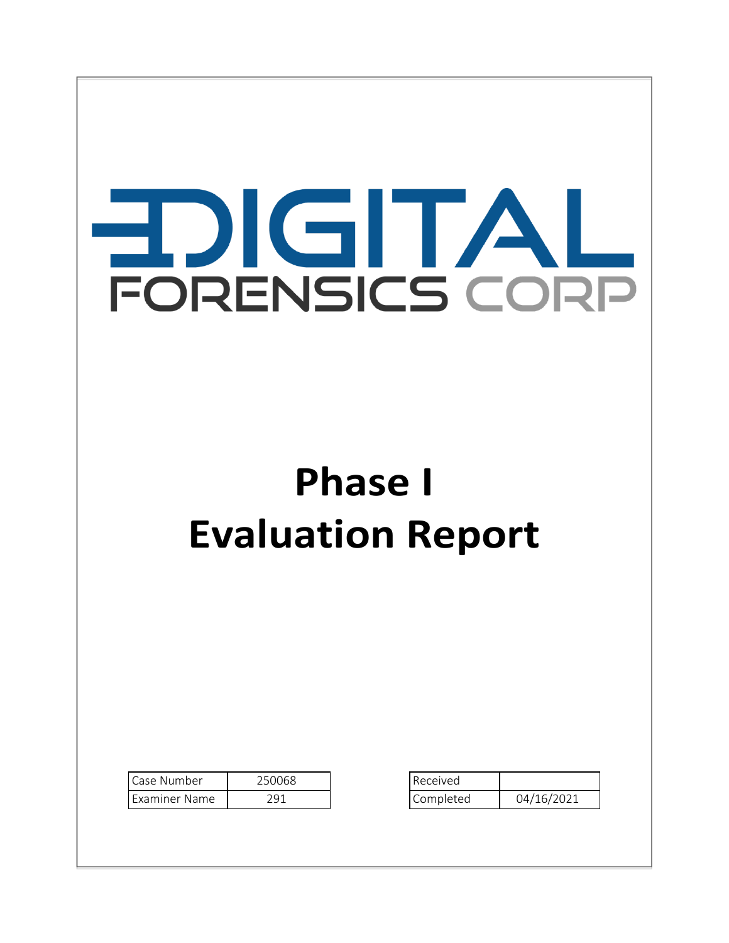# EDIGITAL FORENSICS CORP

## **Phase I Evaluation Report**

| Case Number   | 250068 | Received  |            |
|---------------|--------|-----------|------------|
| Examiner Name | 291    | Completed | 04/16/2021 |

| Received  |            |  |
|-----------|------------|--|
| Completed | 04/16/2021 |  |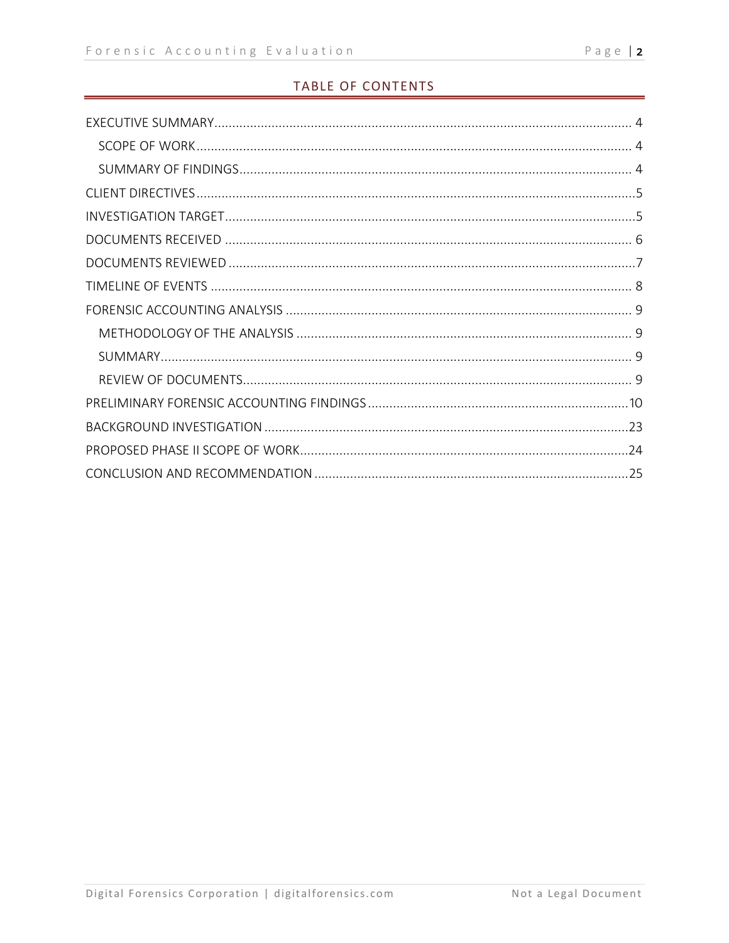#### TABLE OF CONTENTS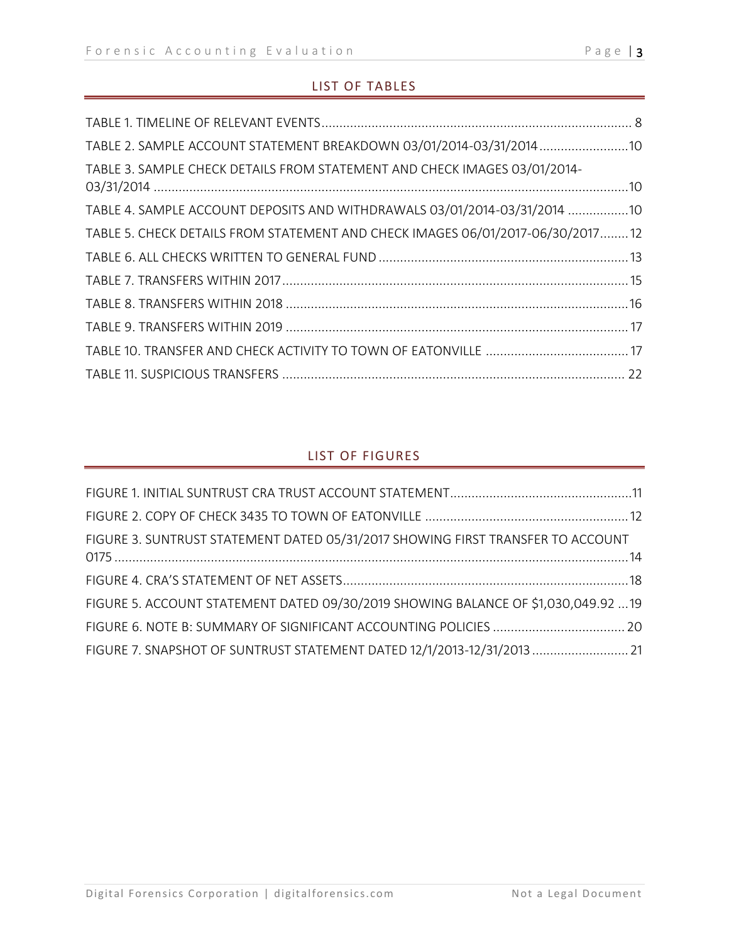#### LIST OF TABLES

| TABLE 2. SAMPLE ACCOUNT STATEMENT BREAKDOWN 03/01/2014-03/31/2014 10            |  |
|---------------------------------------------------------------------------------|--|
| TABLE 3. SAMPLE CHECK DETAILS FROM STATEMENT AND CHECK IMAGES 03/01/2014-       |  |
| TABLE 4. SAMPLE ACCOUNT DEPOSITS AND WITHDRAWALS 03/01/2014-03/31/2014 10       |  |
| TABLE 5. CHECK DETAILS FROM STATEMENT AND CHECK IMAGES 06/01/2017-06/30/2017 12 |  |
|                                                                                 |  |
|                                                                                 |  |
|                                                                                 |  |
|                                                                                 |  |
|                                                                                 |  |
|                                                                                 |  |

#### LIST OF FIGURES

| FIGURE 3. SUNTRUST STATEMENT DATED 05/31/2017 SHOWING FIRST TRANSFER TO ACCOUNT    |  |
|------------------------------------------------------------------------------------|--|
|                                                                                    |  |
| FIGURE 5. ACCOUNT STATEMENT DATED 09/30/2019 SHOWING BALANCE OF \$1,030,049.92  19 |  |
|                                                                                    |  |
| FIGURE 7. SNAPSHOT OF SUNTRUST STATEMENT DATED 12/1/2013-12/31/2013 21             |  |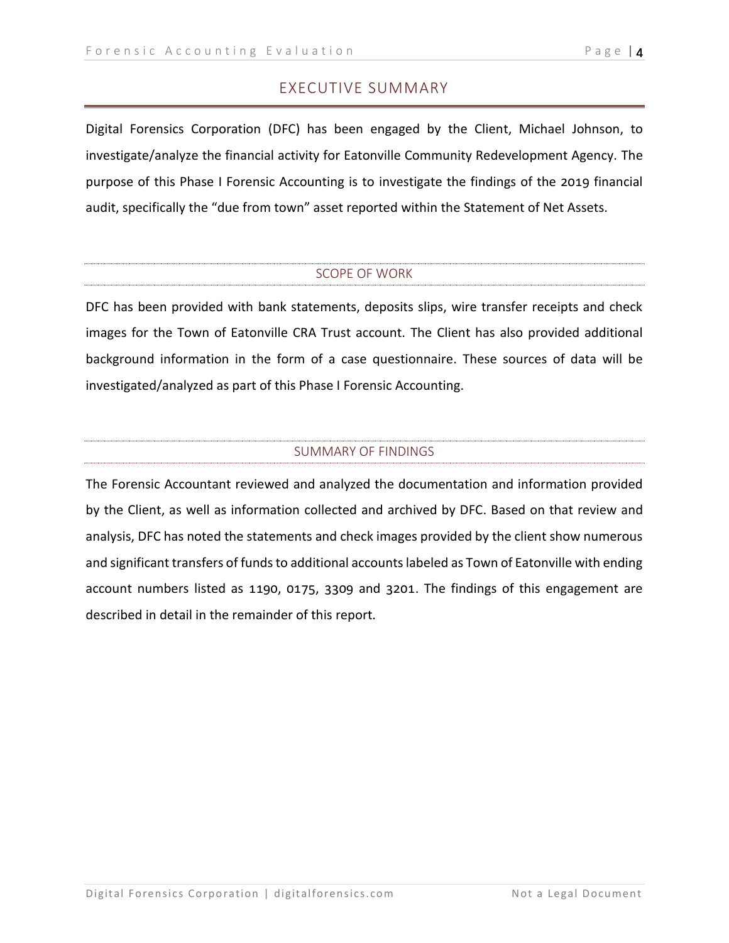Digital Forensics Corporation (DFC) has been engaged by the Client, Michael Johnson, to investigate/analyze the financial activity for Eatonville Community Redevelopment Agency. The purpose of this Phase I Forensic Accounting is to investigate the findings of the 2019 financial audit, specifically the "due from town" asset reported within the Statement of Net Assets.

#### SCOPE OF WORK

DFC has been provided with bank statements, deposits slips, wire transfer receipts and check images for the Town of Eatonville CRA Trust account. The Client has also provided additional background information in the form of a case questionnaire. These sources of data will be investigated/analyzed as part of this Phase I Forensic Accounting.

#### SUMMARY OF FINDINGS

The Forensic Accountant reviewed and analyzed the documentation and information provided by the Client, as well as information collected and archived by DFC. Based on that review and analysis, DFC has noted the statements and check images provided by the client show numerous and significant transfers of funds to additional accounts labeled as Town of Eatonville with ending account numbers listed as 1190, 0175, 3309 and 3201. The findings of this engagement are described in detail in the remainder of this report.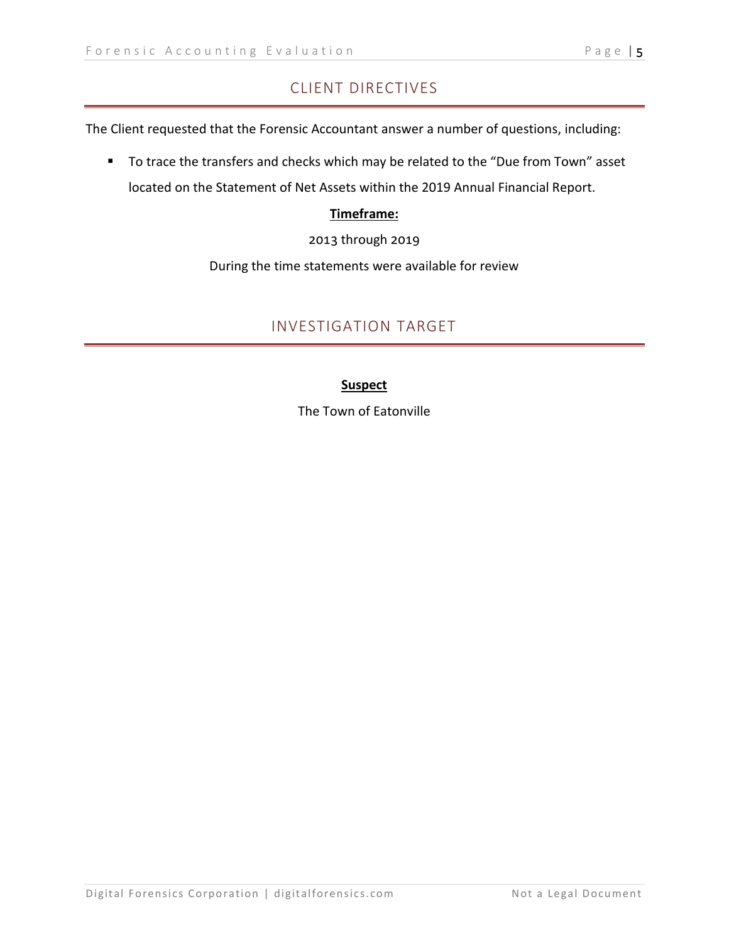### CLIENT DIRECTIVES

The Client requested that the Forensic Accountant answer a number of questions, including:

■ To trace the transfers and checks which may be related to the "Due from Town" asset located on the Statement of Net Assets within the 2019 Annual Financial Report.

#### **Timeframe:**

2013 through 2019

During the time statements were available for review

#### INVESTIGATION TARGET

#### **Suspect**

The Town of Eatonville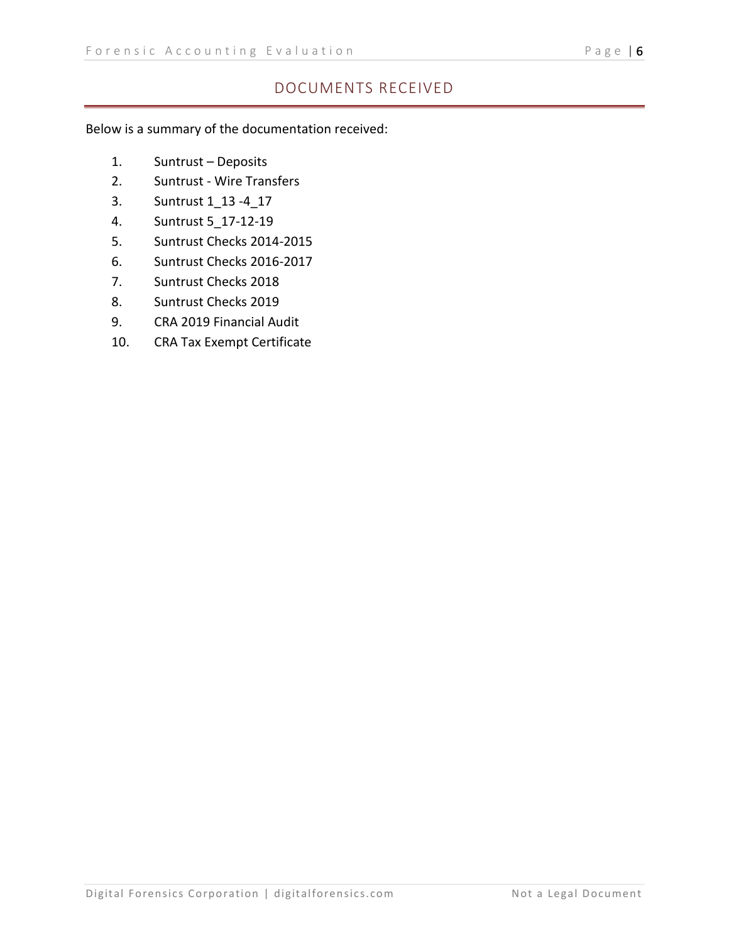#### DOCUMENTS RECEIVED

Below is a summary of the documentation received:

- 1. Suntrust Deposits
- 2. Suntrust Wire Transfers
- 3. Suntrust 1\_13 -4\_17
- 4. Suntrust 5\_17-12-19
- 5. Suntrust Checks 2014-2015
- 6. Suntrust Checks 2016-2017
- 7. Suntrust Checks 2018
- 8. Suntrust Checks 2019
- 9. CRA 2019 Financial Audit
- 10. CRA Tax Exempt Certificate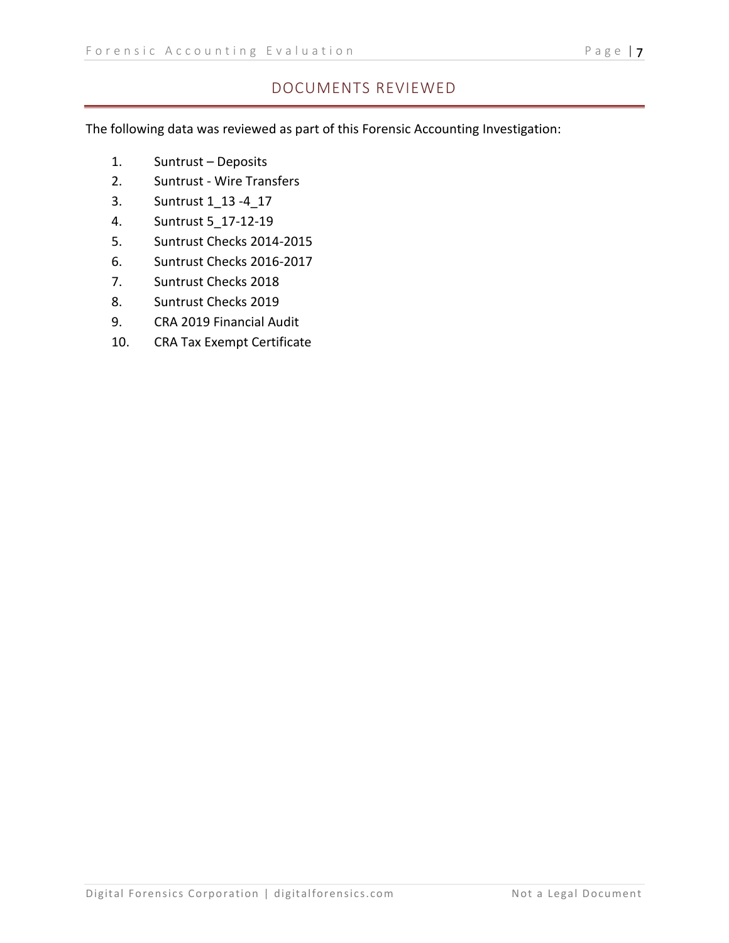#### DOCUMENTS REVIEWED

The following data was reviewed as part of this Forensic Accounting Investigation:

- 1. Suntrust Deposits
- 2. Suntrust Wire Transfers
- 3. Suntrust 1\_13 -4\_17
- 4. Suntrust 5\_17-12-19
- 5. Suntrust Checks 2014-2015
- 6. Suntrust Checks 2016-2017
- 7. Suntrust Checks 2018
- 8. Suntrust Checks 2019
- 9. CRA 2019 Financial Audit
- 10. CRA Tax Exempt Certificate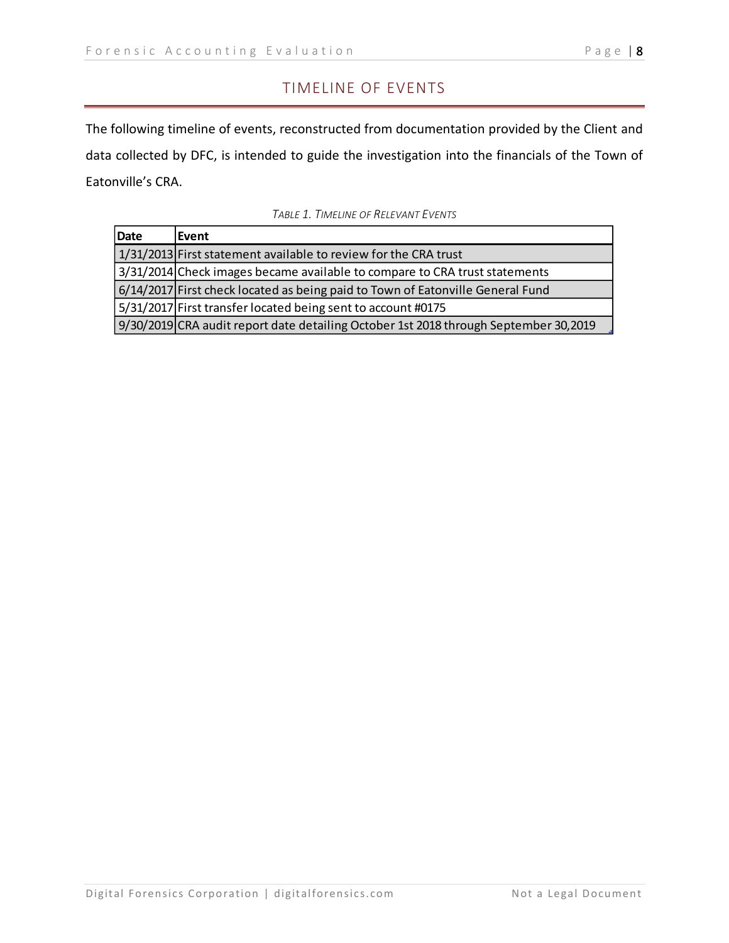#### TIMELINE OF EVENTS

The following timeline of events, reconstructed from documentation provided by the Client and data collected by DFC, is intended to guide the investigation into the financials of the Town of Eatonville's CRA.

| Date | <b>Event</b>                                                                         |
|------|--------------------------------------------------------------------------------------|
|      | 1/31/2013 First statement available to review for the CRA trust                      |
|      | 3/31/2014 Check images became available to compare to CRA trust statements           |
|      | 6/14/2017 First check located as being paid to Town of Eatonville General Fund       |
|      | 5/31/2017 First transfer located being sent to account #0175                         |
|      | 9/30/2019 CRA audit report date detailing October 1st 2018 through September 30,2019 |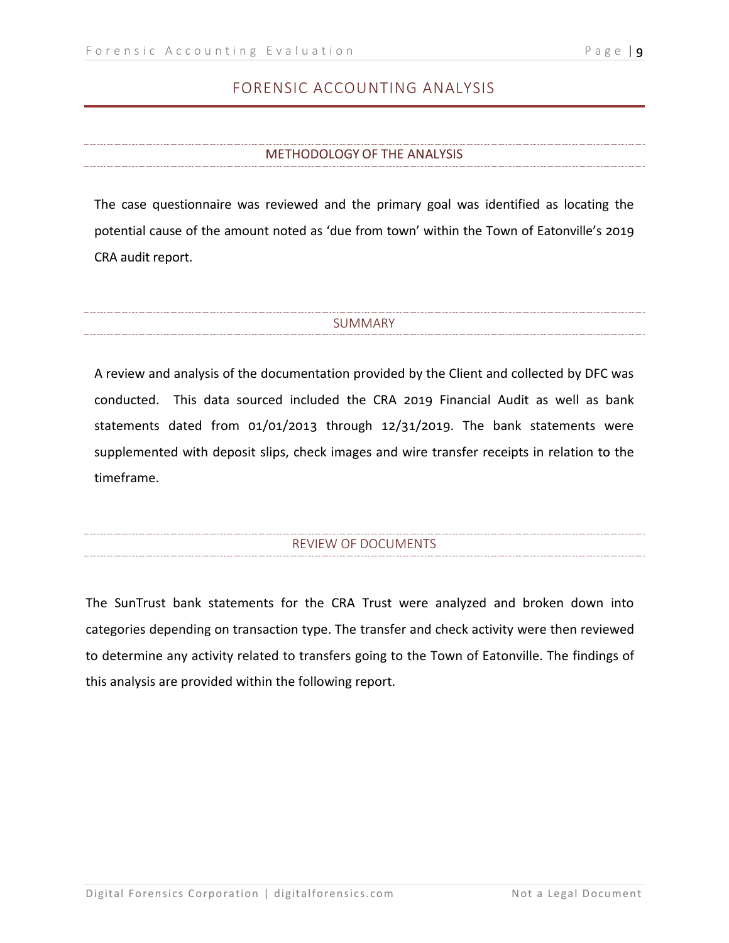#### FORENSIC ACCOUNTING ANALYSIS

#### METHODOLOGY OF THE ANALYSIS

The case questionnaire was reviewed and the primary goal was identified as locating the potential cause of the amount noted as 'due from town' within the Town of Eatonville's 2019 CRA audit report.

#### SUMMARY

A review and analysis of the documentation provided by the Client and collected by DFC was conducted. This data sourced included the CRA 2019 Financial Audit as well as bank statements dated from 01/01/2013 through 12/31/2019. The bank statements were supplemented with deposit slips, check images and wire transfer receipts in relation to the timeframe.

#### REVIEW OF DOCUMENTS

The SunTrust bank statements for the CRA Trust were analyzed and broken down into categories depending on transaction type. The transfer and check activity were then reviewed to determine any activity related to transfers going to the Town of Eatonville. The findings of this analysis are provided within the following report.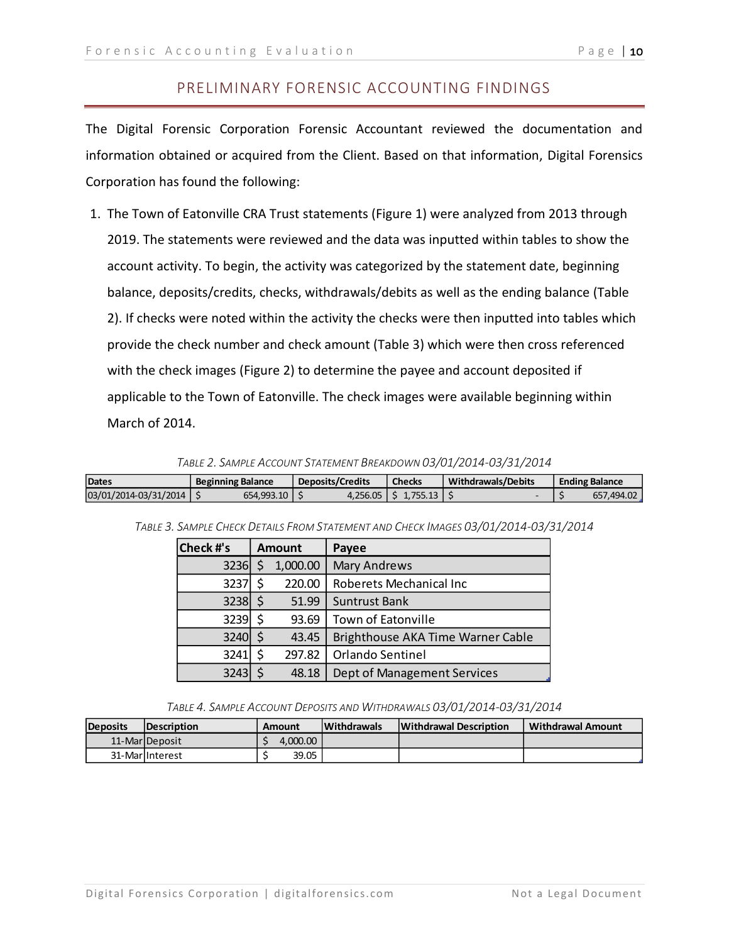#### PRELIMINARY FORENSIC ACCOUNTING FINDINGS

The Digital Forensic Corporation Forensic Accountant reviewed the documentation and information obtained or acquired from the Client. Based on that information, Digital Forensics Corporation has found the following:

1. The Town of Eatonville CRA Trust statements (Figure 1) were analyzed from 2013 through 2019. The statements were reviewed and the data was inputted within tables to show the account activity. To begin, the activity was categorized by the statement date, beginning balance, deposits/credits, checks, withdrawals/debits as well as the ending balance (Table 2). If checks were noted within the activity the checks were then inputted into tables which provide the check number and check amount (Table 3) which were then cross referenced with the check images (Figure 2) to determine the payee and account deposited if applicable to the Town of Eatonville. The check images were available beginning within March of 2014.

*TABLE 2. SAMPLE ACCOUNT STATEMENT BREAKDOWN 03/01/2014-03/31/2014*

| Dates                 | <b>Beginning Balance</b> |              | <b>Deposits/Credits</b> | <b>Checks</b>            | <b>Withdrawals/Debits</b> | <b>Ending Balance</b> |            |
|-----------------------|--------------------------|--------------|-------------------------|--------------------------|---------------------------|-----------------------|------------|
| 03/01/2014-03/31/2014 |                          | 654.993.10 L |                         | $4.256.05$   \$ 1.755.13 |                           |                       | 657,494.02 |

| <b>Check #'s</b> | <b>Amount</b> |          | Payee                             |
|------------------|---------------|----------|-----------------------------------|
| 3236             |               | 1,000.00 | <b>Mary Andrews</b>               |
| 3237             |               | 220.00   | Roberets Mechanical Inc           |
| $3238$ \$        |               | 51.99    | <b>Suntrust Bank</b>              |
| 3239 \$          |               | 93.69    | <b>Town of Eatonville</b>         |
| 3240 \$          |               | 43.45    | Brighthouse AKA Time Warner Cable |
| 3241             |               | 297.82   | Orlando Sentinel                  |
| 3243             |               | 48.18    | Dept of Management Services       |

*TABLE 3. SAMPLE CHECK DETAILS FROM STATEMENT AND CHECK IMAGES 03/01/2014-03/31/2014*

*TABLE 4. SAMPLE ACCOUNT DEPOSITS AND WITHDRAWALS 03/01/2014-03/31/2014*

| <b>Deposits</b> | <b>IDescription</b> | Amount   | <b>Withdrawals</b> | <b>Withdrawal Description</b> | <b>Withdrawal Amount</b> |
|-----------------|---------------------|----------|--------------------|-------------------------------|--------------------------|
|                 | 11-MarlDeposit      | 4.000.00 |                    |                               |                          |
|                 | 31-MarlInterest     | 39.05    |                    |                               |                          |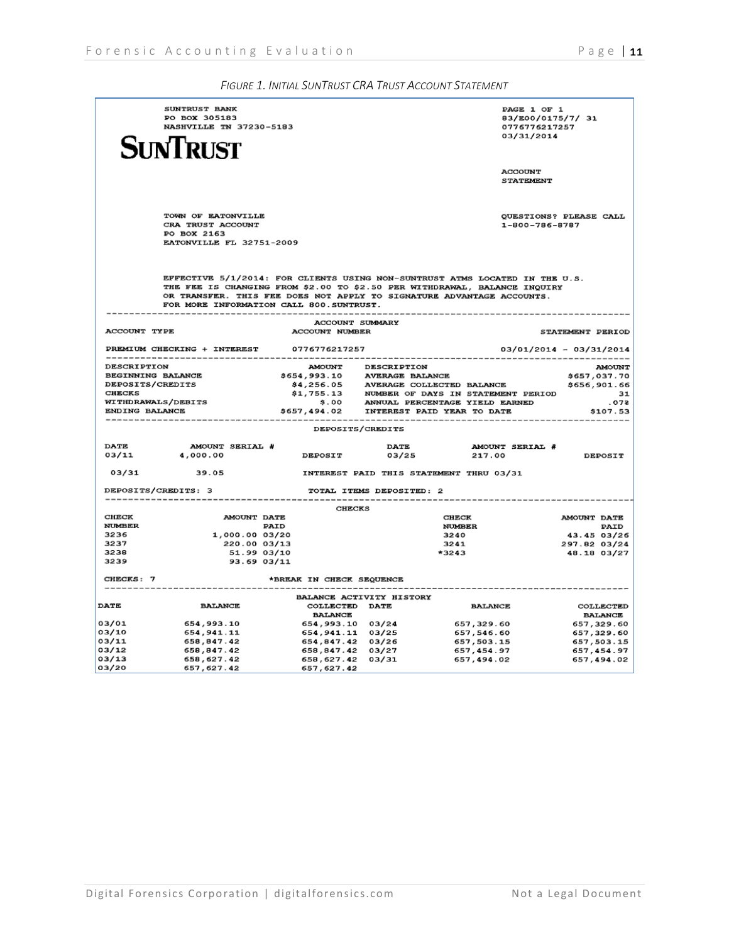| SUNTRUST BANK<br>PO BOX 305183<br>NASHVILLE TN 37230-5183<br>SUNTRUST |                                                                                    |                                         |                          | PAGE 1 OF 1<br>83/E00/0175/7/ 31<br>0776776217257<br>03/31/2014                                                                                                                                                                   |                             |  |
|-----------------------------------------------------------------------|------------------------------------------------------------------------------------|-----------------------------------------|--------------------------|-----------------------------------------------------------------------------------------------------------------------------------------------------------------------------------------------------------------------------------|-----------------------------|--|
|                                                                       |                                                                                    |                                         |                          | <b>ACCOUNT</b><br><b>STATEMENT</b>                                                                                                                                                                                                |                             |  |
|                                                                       | TOWN OF EATONVILLE<br>CRA TRUST ACCOUNT<br>PO BOX 2163<br>EATONVILLE FL 32751-2009 |                                         |                          | 1-800-786-8787                                                                                                                                                                                                                    | QUESTIONS? PLEASE CALL      |  |
|                                                                       | FOR MORE INFORMATION CALL 800. SUNTRUST.                                           |                                         |                          | EFFECTIVE 5/1/2014: FOR CLIENTS USING NON-SUNTRUST ATMS LOCATED IN THE U.S.<br>THE FEE IS CHANGING FROM \$2.00 TO \$2.50 PER WITHDRAWAL, BALANCE INQUIRY<br>OR TRANSFER. THIS FEE DOES NOT APPLY TO SIGNATURE ADVANTAGE ACCOUNTS. |                             |  |
| ACCOUNT TYPE                                                          |                                                                                    | <b>ACCOUNT SUMMARY</b>                  |                          |                                                                                                                                                                                                                                   |                             |  |
|                                                                       |                                                                                    | <b>ACCOUNT NUMBER</b>                   |                          |                                                                                                                                                                                                                                   | STATEMENT PERIOD            |  |
|                                                                       | PREMIUM CHECKING + INTEREST                                                        | 0776776217257                           |                          |                                                                                                                                                                                                                                   | 03/01/2014 - 03/31/2014     |  |
| <b>DESCRIPTION</b>                                                    |                                                                                    | <b>AMOUNT</b>                           | <b>DESCRIPTION</b>       |                                                                                                                                                                                                                                   | <b>AMOUNT</b>               |  |
| BEGINNING BALANCE                                                     |                                                                                    | \$654,993.10 AVERAGE BALANCE            |                          |                                                                                                                                                                                                                                   | \$657,037.70                |  |
| <b>DEPOSITS/CREDITS</b><br><b>CHECKS</b>                              |                                                                                    |                                         |                          | \$4,256.05 AVERAGE COLLECTED BALANCE \$4,755.13 NUMBER OF DAYS IN STATEMENT PERIOD                                                                                                                                                | \$656,901.66<br>31          |  |
|                                                                       | <b>WITHDRAWALS/DEBITS</b>                                                          |                                         |                          | \$.00 ANNUAL PERCENTAGE YIELD EARNED                                                                                                                                                                                              | .078                        |  |
| ENDING BALANCE                                                        |                                                                                    | \$657,494.02 INTEREST PAID YEAR TO DATE |                          |                                                                                                                                                                                                                                   | \$107.53                    |  |
|                                                                       |                                                                                    | DEPOSITS/CREDITS                        |                          |                                                                                                                                                                                                                                   |                             |  |
|                                                                       |                                                                                    |                                         |                          |                                                                                                                                                                                                                                   |                             |  |
| <b>DATE</b>                                                           | AMOUNT SERIAL #                                                                    |                                         | <b>DATE</b>              | AMOUNT SERIAL #                                                                                                                                                                                                                   |                             |  |
| 03/11                                                                 | 4,000.00                                                                           | <b>DEPOSIT</b>                          | 03/25                    | 217.00                                                                                                                                                                                                                            | <b>DEPOSIT</b>              |  |
| 03/31                                                                 | 39.05                                                                              |                                         |                          | INTEREST PAID THIS STATEMENT THRU 03/31                                                                                                                                                                                           |                             |  |
|                                                                       | DEPOSITS/CREDITS: 3                                                                |                                         | TOTAL ITEMS DEPOSITED: 2 |                                                                                                                                                                                                                                   |                             |  |
|                                                                       |                                                                                    | <b>CHECKS</b>                           |                          |                                                                                                                                                                                                                                   |                             |  |
| CHECK                                                                 | <b>AMOUNT DATE</b>                                                                 |                                         |                          | CHECK                                                                                                                                                                                                                             | <b>AMOUNT DATE</b>          |  |
| <b>NUMBER</b><br>3236                                                 | <b>PAID</b>                                                                        |                                         |                          | <b>NUMBER</b>                                                                                                                                                                                                                     | <b>PAID</b>                 |  |
| 3237                                                                  | 1,000.00 03/20<br>220.00 03/13                                                     |                                         |                          | 3240<br>3241                                                                                                                                                                                                                      | 43.45 03/26<br>297.82 03/24 |  |
| 3238                                                                  | 51.99 03/10                                                                        |                                         |                          | *3243                                                                                                                                                                                                                             | 48.18 03/27                 |  |
| 3239                                                                  | 93.69 03/11                                                                        |                                         |                          |                                                                                                                                                                                                                                   |                             |  |
| CHECKS: 7                                                             |                                                                                    | *BREAK IN CHECK SEQUENCE                |                          |                                                                                                                                                                                                                                   |                             |  |
|                                                                       |                                                                                    |                                         | BALANCE ACTIVITY HISTORY |                                                                                                                                                                                                                                   |                             |  |
| <b>DATE</b>                                                           | <b>BALANCE</b>                                                                     | COLLECTED DATE<br><b>BALANCE</b>        |                          | <b>BALANCE</b>                                                                                                                                                                                                                    | COLLECTED<br><b>BALANCE</b> |  |
| 03/01                                                                 | 654,993.10                                                                         |                                         |                          |                                                                                                                                                                                                                                   | 657,329.60                  |  |
| 03/10                                                                 | 654,941.11                                                                         |                                         |                          |                                                                                                                                                                                                                                   | 657,329.60                  |  |
| 03/11                                                                 | 658,847.42                                                                         | 654,847.42 03/26                        |                          | 657,503.15                                                                                                                                                                                                                        | 657,503.15                  |  |
| 03/12                                                                 | 658,847.42                                                                         | 658,847.42 03/27                        |                          | 657,454.97                                                                                                                                                                                                                        | 657,454.97                  |  |
| 03/13<br>03/20                                                        | 658,627.42<br>657,627.42                                                           | 658,627.42 03/31<br>657, 627.42         |                          | 657,494.02                                                                                                                                                                                                                        | 657,494.02                  |  |
|                                                                       |                                                                                    |                                         |                          |                                                                                                                                                                                                                                   |                             |  |

*FIGURE 1. INITIAL SUNTRUST CRA TRUST ACCOUNT STATEMENT*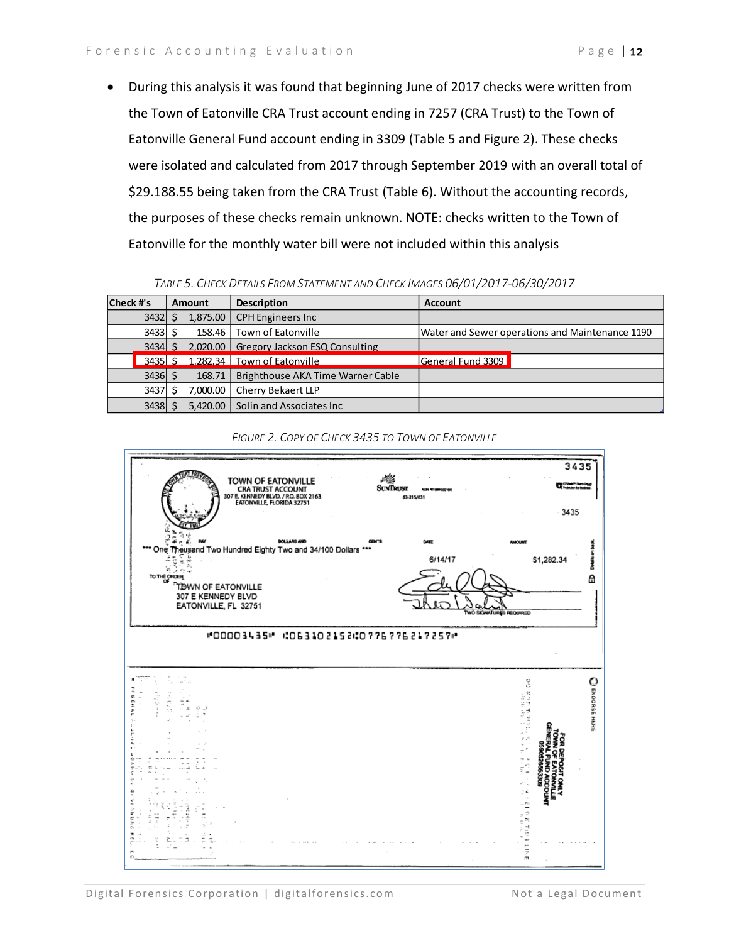• During this analysis it was found that beginning June of 2017 checks were written from the Town of Eatonville CRA Trust account ending in 7257 (CRA Trust) to the Town of Eatonville General Fund account ending in 3309 (Table 5 and Figure 2). These checks were isolated and calculated from 2017 through September 2019 with an overall total of \$29.188.55 being taken from the CRA Trust (Table 6). Without the accounting records, the purposes of these checks remain unknown. NOTE: checks written to the Town of Eatonville for the monthly water bill were not included within this analysis

| TABLE 5. CHECK DETAILS FROM STATEMENT AND CHECK IMAGES 06/01/2017-06/30/2017 |  |
|------------------------------------------------------------------------------|--|
|------------------------------------------------------------------------------|--|

| Check #'s<br><b>Amount</b> |           |  | <b>Description</b>                  | <b>Account</b>                                                               |  |  |
|----------------------------|-----------|--|-------------------------------------|------------------------------------------------------------------------------|--|--|
|                            | $3432$ \$ |  | 1,875.00                            | <b>CPH Engineers Inc</b>                                                     |  |  |
|                            | 3433      |  |                                     | 158.46 Town of Eatonville<br>Water and Sewer operations and Maintenance 1190 |  |  |
|                            |           |  |                                     | 3434 \$2.020.00 Gregory Jackson ESQ Consulting                               |  |  |
|                            |           |  | 3435 \$ 1,282.34 Town of Eatonville | General Fund 3309                                                            |  |  |
|                            | $3436$ \$ |  |                                     | 168.71   Brighthouse AKA Time Warner Cable                                   |  |  |
|                            | 3437      |  |                                     | 7,000.00   Cherry Bekaert LLP                                                |  |  |
|                            | 3438      |  |                                     | 5,420.00 Solin and Associates Inc                                            |  |  |



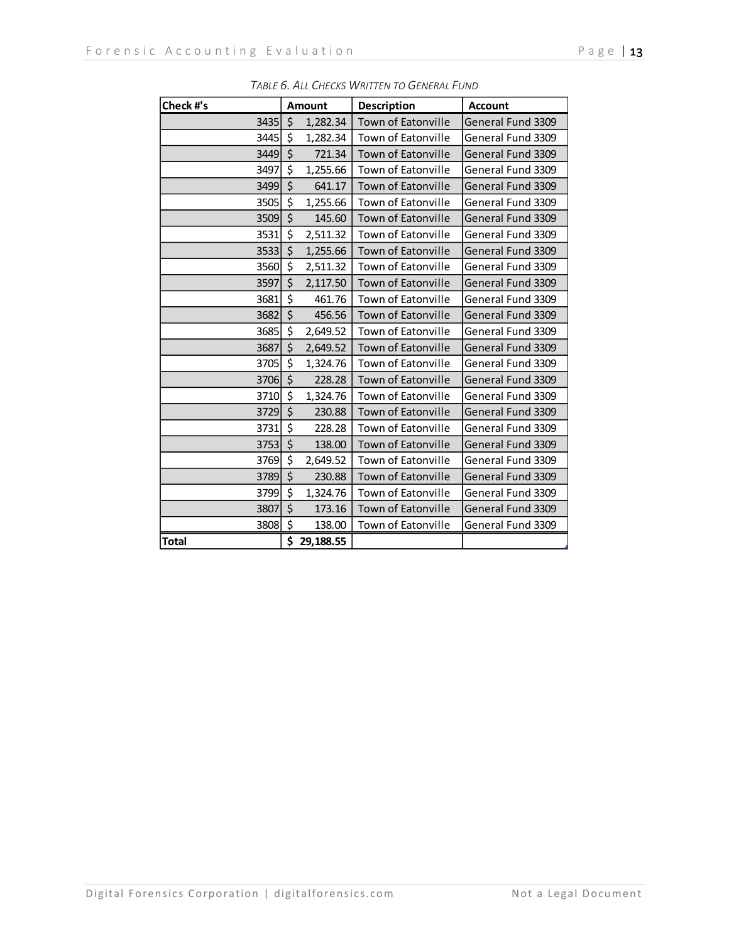| Check #'s    |                  | <b>Amount</b> | Description               | <b>Account</b>    |
|--------------|------------------|---------------|---------------------------|-------------------|
| 3435         | $\zeta$          | 1,282.34      | Town of Eatonville        | General Fund 3309 |
| 3445         | \$               | 1,282.34      | Town of Eatonville        | General Fund 3309 |
| 3449         | $\zeta$          | 721.34        | <b>Town of Eatonville</b> | General Fund 3309 |
| 3497         | \$               | 1,255.66      | Town of Eatonville        | General Fund 3309 |
| 3499         | $\zeta$          | 641.17        | Town of Eatonville        | General Fund 3309 |
| 3505         | \$               | 1,255.66      | Town of Eatonville        | General Fund 3309 |
| 3509         | $\zeta$          | 145.60        | Town of Eatonville        | General Fund 3309 |
| 3531         | \$               | 2,511.32      | Town of Eatonville        | General Fund 3309 |
| 3533         | \$               | 1,255.66      | Town of Eatonville        | General Fund 3309 |
| 3560         | $\zeta$          | 2,511.32      | Town of Eatonville        | General Fund 3309 |
| 3597         | $\zeta$          | 2,117.50      | <b>Town of Eatonville</b> | General Fund 3309 |
| 3681         | \$               | 461.76        | Town of Eatonville        | General Fund 3309 |
| 3682         | \$               | 456.56        | Town of Eatonville        | General Fund 3309 |
| 3685         | \$               | 2,649.52      | Town of Eatonville        | General Fund 3309 |
| 3687         | $\overline{\xi}$ | 2,649.52      | Town of Eatonville        | General Fund 3309 |
| 3705         | $\zeta$          | 1,324.76      | Town of Eatonville        | General Fund 3309 |
| 3706         | $\zeta$          | 228.28        | <b>Town of Eatonville</b> | General Fund 3309 |
| 3710         | \$               | 1,324.76      | Town of Eatonville        | General Fund 3309 |
| 3729         | $\zeta$          | 230.88        | Town of Eatonville        | General Fund 3309 |
| 3731         | \$               | 228.28        | Town of Eatonville        | General Fund 3309 |
| 3753         | $\zeta$          | 138.00        | <b>Town of Eatonville</b> | General Fund 3309 |
| 3769         | \$               | 2,649.52      | Town of Eatonville        | General Fund 3309 |
| 3789         | \$               | 230.88        | <b>Town of Eatonville</b> | General Fund 3309 |
| 3799         | \$               | 1,324.76      | Town of Eatonville        | General Fund 3309 |
| 3807         | \$               | 173.16        | Town of Eatonville        | General Fund 3309 |
| 3808         | \$               | 138.00        | Town of Eatonville        | General Fund 3309 |
| <b>Total</b> | Ś                | 29.188.55     |                           |                   |

*TABLE 6. ALL CHECKS WRITTEN TO GENERAL FUND*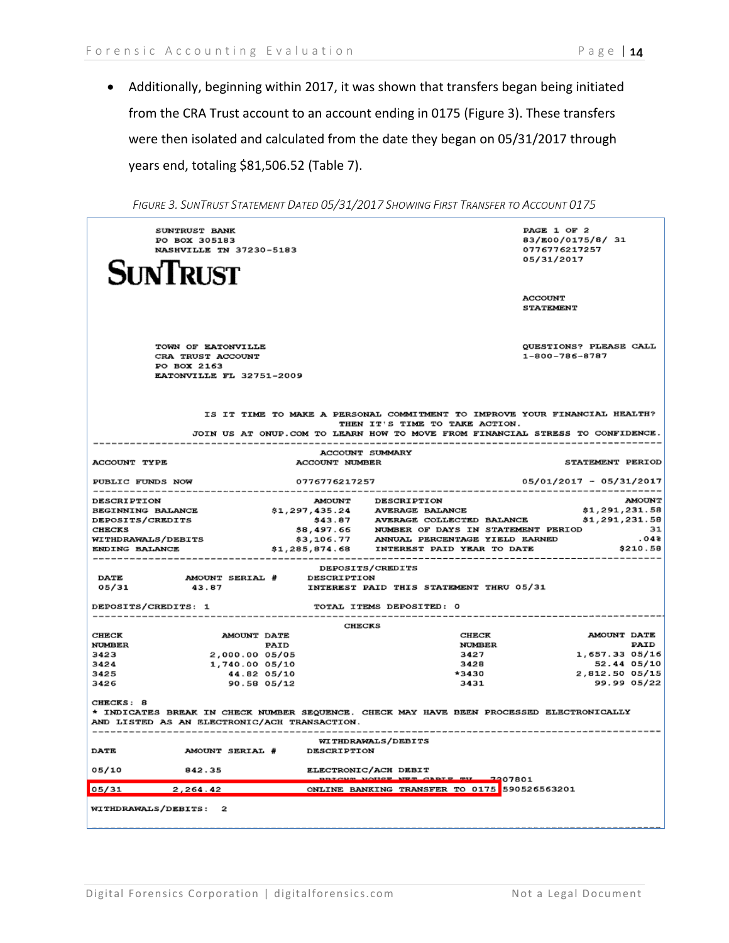• Additionally, beginning within 2017, it was shown that transfers began being initiated from the CRA Trust account to an account ending in 0175 (Figure 3). These transfers were then isolated and calculated from the date they began on 05/31/2017 through years end, totaling \$81,506.52 (Table 7).

| SUNTRUST BANK<br>PO BOX 305183<br>NASHVILLE TN 37230-5183                          |                                                                                                                                                                                                                  | PAGE 1 OF 2<br>83/E00/0175/8/ 31<br>0776776217257<br>05/31/2017 |
|------------------------------------------------------------------------------------|------------------------------------------------------------------------------------------------------------------------------------------------------------------------------------------------------------------|-----------------------------------------------------------------|
| <b>SINTRUST</b>                                                                    |                                                                                                                                                                                                                  | <b>ACCOUNT</b><br><b>STATEMENT</b>                              |
| TOWN OF EATONVILLE<br>CRA TRUST ACCOUNT<br>PO BOX 2163<br>EATONVILLE FL 32751-2009 |                                                                                                                                                                                                                  | <b>OUESTIONS? PLEASE CALL</b><br>1-800-786-8787                 |
|                                                                                    | IS IT TIME TO MAKE A PERSONAL COMMITMENT TO IMPROVE YOUR FINANCIAL HEALTH?<br>THEN IT'S TIME TO TAKE ACTION.<br>JOIN US AT ONUP. COM TO LEARN HOW TO MOVE FROM FINANCIAL STRESS TO CONFIDENCE.                   |                                                                 |
|                                                                                    | <b>ACCOUNT SUMMARY</b>                                                                                                                                                                                           |                                                                 |
| ACCOUNT TYPE                                                                       | <b>ACCOUNT NUMBER</b>                                                                                                                                                                                            | STATEMENT PERIOD                                                |
| PUBLIC FUNDS NOW                                                                   | 0776776217257                                                                                                                                                                                                    | 05/01/2017 - 05/31/2017                                         |
| <b>DESCRIPTION</b>                                                                 | <b>DESCRIPTION</b><br><b>AMOUNT</b>                                                                                                                                                                              | <b>AMOUNT</b>                                                   |
| BEGINNING BALANCE                                                                  | \$1,297,435.24 AVERAGE BALANCE                                                                                                                                                                                   | \$1,291,231.58<br>\$1,291,231.58                                |
| <b>DEPOSITS/CREDITS</b><br><b>CHECKS</b>                                           |                                                                                                                                                                                                                  | - 31                                                            |
| <b>WITHDRAWALS/DEBITS</b>                                                          |                                                                                                                                                                                                                  | .048                                                            |
| ENDING BALANCE                                                                     | 343.87 AVERAGE COLLECTED BALANCE<br>\$43.87 AVERAGE COLLECTED BALANCE<br>\$5,497.66 NUMBER OF DAYS IN STATEMENT PERIOD<br>\$3,106.77 ANNUAL PERCENTAGE YIELD EARNED<br>\$1,285,874.68 INTEREST PAID YEAR TO DATE | \$210.58                                                        |
|                                                                                    |                                                                                                                                                                                                                  |                                                                 |
| <b>DATE</b><br>AMOUNT SERIAL # DESCRIPTION                                         | <b>DEPOSITS/CREDITS</b>                                                                                                                                                                                          |                                                                 |
| 05/31<br>43.87                                                                     | INTEREST PAID THIS STATEMENT THRU 05/31                                                                                                                                                                          |                                                                 |
| DEPOSITS/CREDITS: 1                                                                | TOTAL ITEMS DEPOSITED: 0                                                                                                                                                                                         |                                                                 |
|                                                                                    | <b>CHECKS</b>                                                                                                                                                                                                    |                                                                 |
| <b>AMOUNT DATE</b><br>CHECK                                                        | CHECK                                                                                                                                                                                                            | AMOUNT DATE                                                     |
| <b>NUMBER</b><br><b>PAID</b>                                                       | <b>NUMBER</b>                                                                                                                                                                                                    | PAID                                                            |
| 2,000.00 05/05<br>3423<br>3424<br>1,740.00 05/10                                   | 3427<br>3428                                                                                                                                                                                                     | 1,657.33 05/16<br>52.44 05/10                                   |
| 3425<br>44.82 05/10                                                                | *3430                                                                                                                                                                                                            | 2,812.50 05/15                                                  |
| 3426<br>90.58 05/12                                                                | 3431                                                                                                                                                                                                             | 99.99 05/22                                                     |
| CHECKS: 8<br>AND LISTED AS AN ELECTRONIC/ACH TRANSACTION.                          | * INDICATES BREAK IN CHECK NUMBER SEQUENCE. CHECK MAY HAVE BEEN PROCESSED ELECTRONICALLY                                                                                                                         |                                                                 |
| AMOUNT SERIAL # DESCRIPTION<br><b>DATE</b>                                         | WITHDRAWALS/DEBITS                                                                                                                                                                                               |                                                                 |
| 05/10<br>842.35                                                                    | ELECTRONIC/ACH DEBIT<br>potcum volice New Capie my<br>2207801                                                                                                                                                    |                                                                 |
| 05/31<br>2,264.42                                                                  | ONLINE BANKING TRANSFER TO 0175 590526563201                                                                                                                                                                     |                                                                 |
| WITHDRAWALS/DEBITS: 2                                                              |                                                                                                                                                                                                                  |                                                                 |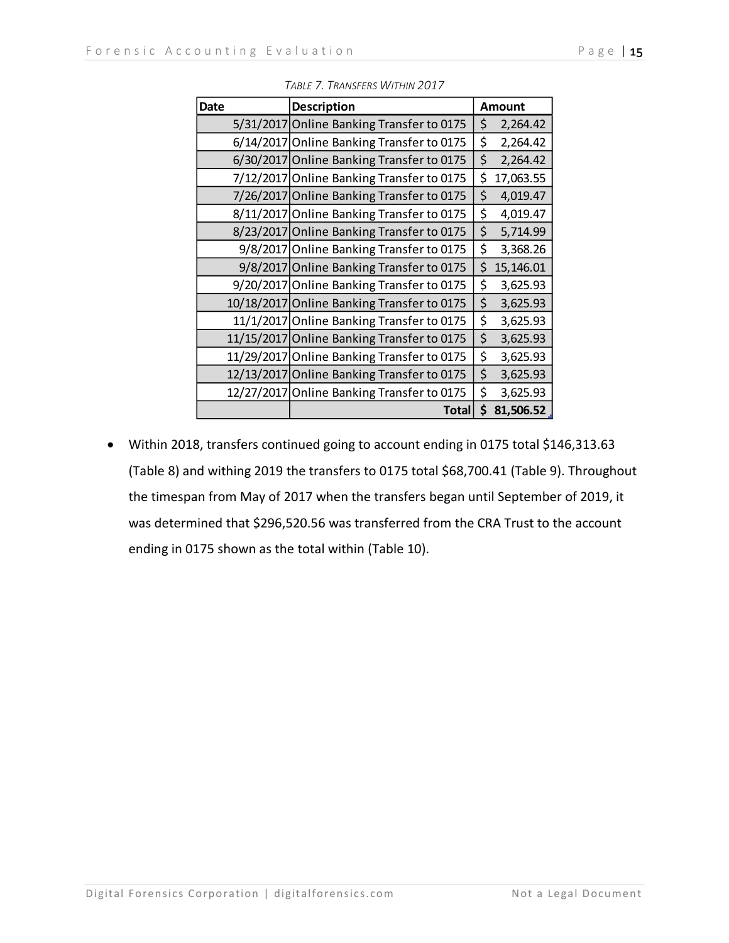| <b>Date</b> | <b>Description</b>                         | <b>Amount</b>   |
|-------------|--------------------------------------------|-----------------|
|             | 5/31/2017 Online Banking Transfer to 0175  | \$<br>2,264.42  |
|             | 6/14/2017 Online Banking Transfer to 0175  | \$<br>2,264.42  |
|             | 6/30/2017 Online Banking Transfer to 0175  | \$<br>2,264.42  |
|             | 7/12/2017 Online Banking Transfer to 0175  | \$<br>17,063.55 |
|             | 7/26/2017 Online Banking Transfer to 0175  | \$<br>4,019.47  |
|             | 8/11/2017 Online Banking Transfer to 0175  | \$<br>4,019.47  |
|             | 8/23/2017 Online Banking Transfer to 0175  | \$<br>5,714.99  |
|             | 9/8/2017 Online Banking Transfer to 0175   | \$<br>3,368.26  |
|             | 9/8/2017 Online Banking Transfer to 0175   | \$<br>15,146.01 |
|             | 9/20/2017 Online Banking Transfer to 0175  | \$<br>3,625.93  |
|             | 10/18/2017 Online Banking Transfer to 0175 | \$<br>3,625.93  |
|             | 11/1/2017 Online Banking Transfer to 0175  | \$<br>3,625.93  |
|             | 11/15/2017 Online Banking Transfer to 0175 | \$<br>3,625.93  |
|             | 11/29/2017 Online Banking Transfer to 0175 | \$<br>3,625.93  |
|             | 12/13/2017 Online Banking Transfer to 0175 | \$<br>3,625.93  |
|             | 12/27/2017 Online Banking Transfer to 0175 | \$<br>3,625.93  |
|             | <b>Total</b>                               | \$<br>81,506.52 |

*TABLE 7. TRANSFERS WITHIN 2017*

• Within 2018, transfers continued going to account ending in 0175 total \$146,313.63 (Table 8) and withing 2019 the transfers to 0175 total \$68,700.41 (Table 9). Throughout the timespan from May of 2017 when the transfers began until September of 2019, it was determined that \$296,520.56 was transferred from the CRA Trust to the account ending in 0175 shown as the total within (Table 10).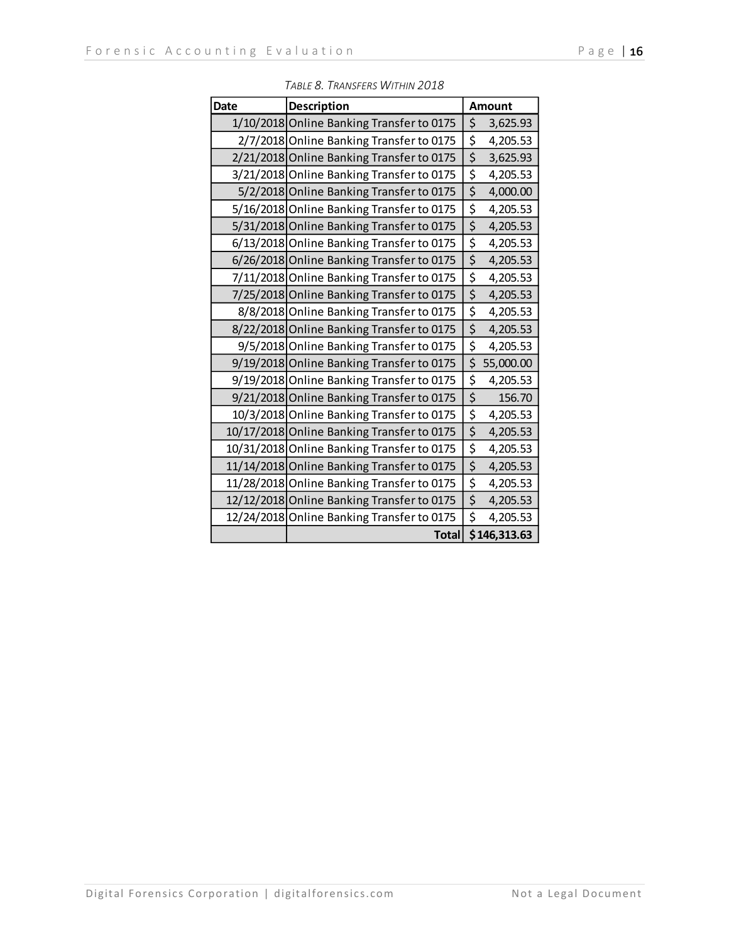| <b>Date</b> | Description                                |                                 | <b>Amount</b> |
|-------------|--------------------------------------------|---------------------------------|---------------|
|             | 1/10/2018 Online Banking Transfer to 0175  | \$                              | 3,625.93      |
|             | 2/7/2018 Online Banking Transfer to 0175   | \$                              | 4,205.53      |
|             | 2/21/2018 Online Banking Transfer to 0175  | \$                              | 3,625.93      |
|             | 3/21/2018 Online Banking Transfer to 0175  | \$                              | 4,205.53      |
|             | 5/2/2018 Online Banking Transfer to 0175   | \$                              | 4,000.00      |
|             | 5/16/2018 Online Banking Transfer to 0175  | \$                              | 4,205.53      |
|             | 5/31/2018 Online Banking Transfer to 0175  | \$                              | 4,205.53      |
|             | 6/13/2018 Online Banking Transfer to 0175  | \$                              | 4,205.53      |
|             | 6/26/2018 Online Banking Transfer to 0175  | \$                              | 4,205.53      |
|             | 7/11/2018 Online Banking Transfer to 0175  | \$                              | 4,205.53      |
|             | 7/25/2018 Online Banking Transfer to 0175  | \$                              | 4,205.53      |
|             | 8/8/2018 Online Banking Transfer to 0175   | \$                              | 4,205.53      |
|             | 8/22/2018 Online Banking Transfer to 0175  | \$                              | 4,205.53      |
|             | 9/5/2018 Online Banking Transfer to 0175   | \$                              | 4,205.53      |
|             | 9/19/2018 Online Banking Transfer to 0175  | \$                              | 55,000.00     |
|             | 9/19/2018 Online Banking Transfer to 0175  | \$                              | 4,205.53      |
|             | 9/21/2018 Online Banking Transfer to 0175  | \$                              | 156.70        |
|             | 10/3/2018 Online Banking Transfer to 0175  | \$                              | 4,205.53      |
|             | 10/17/2018 Online Banking Transfer to 0175 | \$                              | 4,205.53      |
|             | 10/31/2018 Online Banking Transfer to 0175 | \$                              | 4,205.53      |
|             | 11/14/2018 Online Banking Transfer to 0175 | \$                              | 4,205.53      |
|             | 11/28/2018 Online Banking Transfer to 0175 | \$                              | 4,205.53      |
|             | 12/12/2018 Online Banking Transfer to 0175 | $\overline{\boldsymbol{\zeta}}$ | 4,205.53      |
|             | 12/24/2018 Online Banking Transfer to 0175 | \$                              | 4,205.53      |
|             | <b>Total</b>                               |                                 | \$146,313.63  |

*TABLE 8. TRANSFERS WITHIN 2018*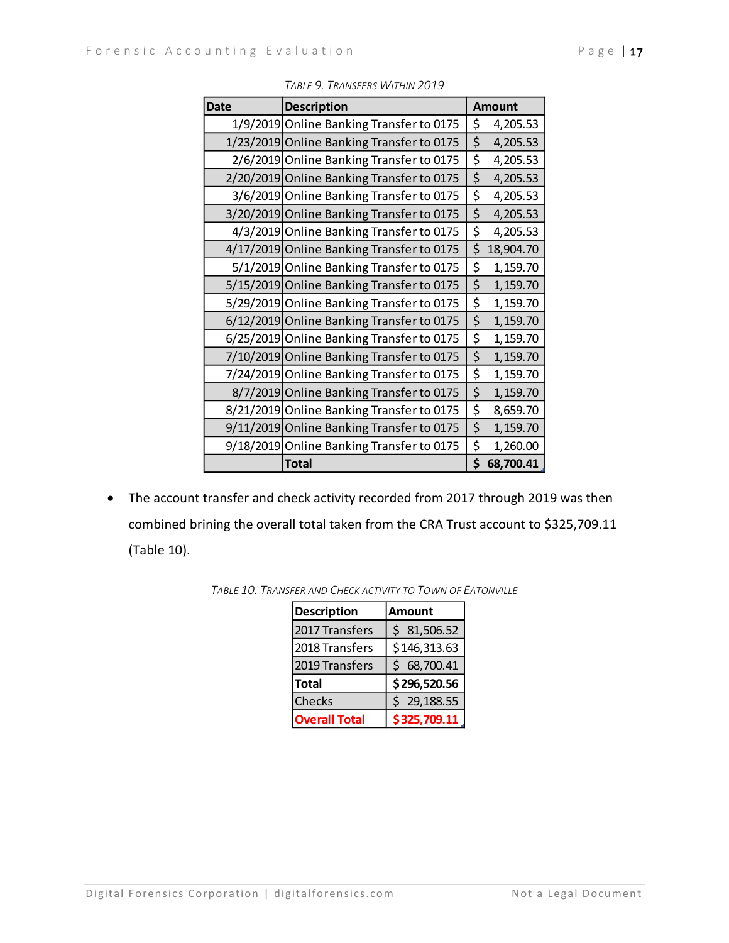| <b>Date</b> |                                           |                 |
|-------------|-------------------------------------------|-----------------|
|             | <b>Description</b>                        | <b>Amount</b>   |
|             | 1/9/2019 Online Banking Transfer to 0175  | \$<br>4,205.53  |
|             | 1/23/2019 Online Banking Transfer to 0175 | \$<br>4,205.53  |
|             | 2/6/2019 Online Banking Transfer to 0175  | \$<br>4,205.53  |
|             | 2/20/2019 Online Banking Transfer to 0175 | \$<br>4,205.53  |
|             | 3/6/2019 Online Banking Transfer to 0175  | \$<br>4,205.53  |
|             | 3/20/2019 Online Banking Transfer to 0175 | \$<br>4,205.53  |
|             | 4/3/2019 Online Banking Transfer to 0175  | \$<br>4,205.53  |
|             | 4/17/2019 Online Banking Transfer to 0175 | \$<br>18,904.70 |
|             | 5/1/2019 Online Banking Transfer to 0175  | \$<br>1,159.70  |
|             | 5/15/2019 Online Banking Transfer to 0175 | \$<br>1,159.70  |
|             | 5/29/2019 Online Banking Transfer to 0175 | \$<br>1,159.70  |
|             | 6/12/2019 Online Banking Transfer to 0175 | \$<br>1,159.70  |
|             | 6/25/2019 Online Banking Transfer to 0175 | \$<br>1,159.70  |
|             | 7/10/2019 Online Banking Transfer to 0175 | \$<br>1,159.70  |
|             | 7/24/2019 Online Banking Transfer to 0175 | \$<br>1,159.70  |
|             | 8/7/2019 Online Banking Transfer to 0175  | \$<br>1,159.70  |
|             | 8/21/2019 Online Banking Transfer to 0175 | \$<br>8,659.70  |
|             | 9/11/2019 Online Banking Transfer to 0175 | \$<br>1,159.70  |
|             | 9/18/2019 Online Banking Transfer to 0175 | \$<br>1,260.00  |
|             | <b>Total</b>                              | \$<br>68,700.41 |

*TABLE 9. TRANSFERS WITHIN 2019*

• The account transfer and check activity recorded from 2017 through 2019 was then combined brining the overall total taken from the CRA Trust account to \$325,709.11 (Table 10).

| <b>Description</b>   | <b>Amount</b>   |  |  |  |
|----------------------|-----------------|--|--|--|
| 2017 Transfers       | 81,506.52<br>Ś  |  |  |  |
| 2018 Transfers       | \$146,313.63    |  |  |  |
| 2019 Transfers       | 68,700.41<br>Ś  |  |  |  |
| <b>Total</b>         | \$296,520.56    |  |  |  |
| <b>Checks</b>        | 29,188.55<br>\$ |  |  |  |
| <b>Overall Total</b> | \$325,709.11    |  |  |  |

*TABLE 10. TRANSFER AND CHECK ACTIVITY TO TOWN OF EATONVILLE*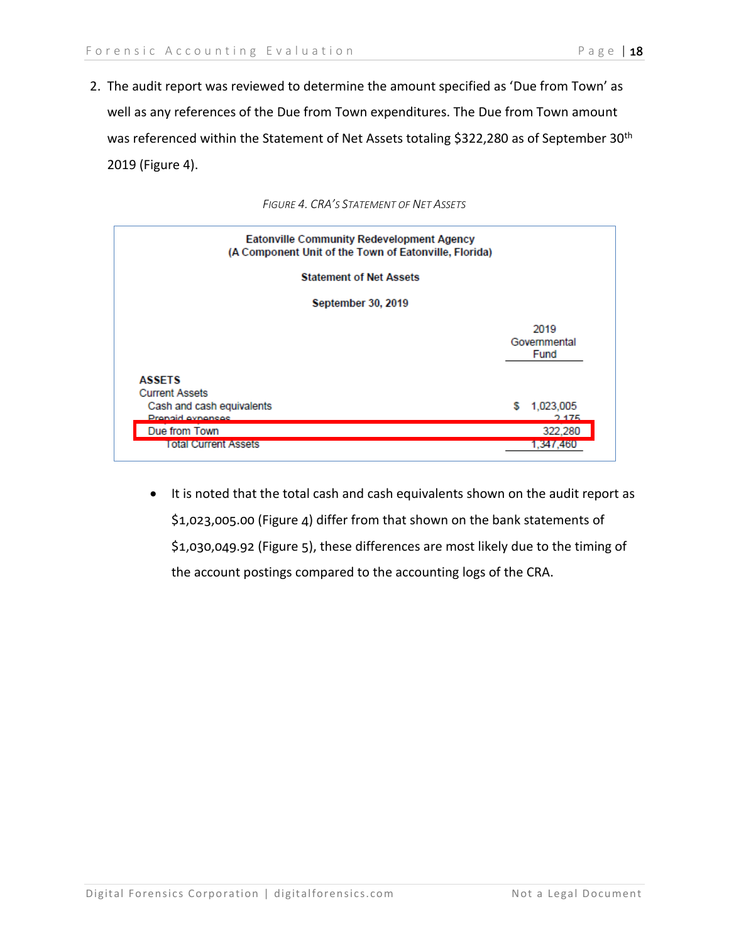2. The audit report was reviewed to determine the amount specified as 'Due from Town' as well as any references of the Due from Town expenditures. The Due from Town amount was referenced within the Statement of Net Assets totaling \$322,280 as of September 30<sup>th</sup> 2019 (Figure 4).





• It is noted that the total cash and cash equivalents shown on the audit report as \$1,023,005.00 (Figure 4) differ from that shown on the bank statements of \$1,030,049.92 (Figure 5), these differences are most likely due to the timing of the account postings compared to the accounting logs of the CRA.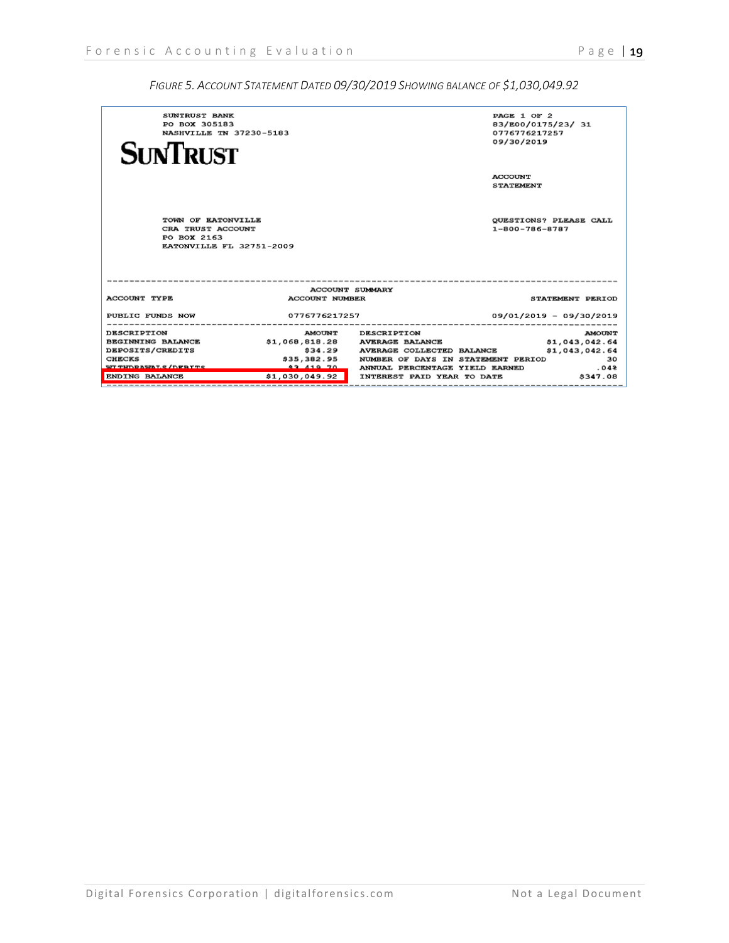| SUNTRUST BANK                             |                       |                                                                                     | PAGE 1 OF 2                   |
|-------------------------------------------|-----------------------|-------------------------------------------------------------------------------------|-------------------------------|
| PO BOX 305183                             |                       |                                                                                     | 83/E00/0175/23/ 31            |
| NASHVILLE TN 37230-5183                   |                       |                                                                                     | 0776776217257                 |
|                                           |                       |                                                                                     | 09/30/2019                    |
| <b>SUNTRUST</b>                           |                       |                                                                                     |                               |
|                                           |                       |                                                                                     |                               |
|                                           |                       |                                                                                     | <b>ACCOUNT</b>                |
|                                           |                       |                                                                                     | <b>STATEMENT</b>              |
|                                           |                       |                                                                                     |                               |
|                                           |                       |                                                                                     |                               |
|                                           |                       |                                                                                     |                               |
| TOWN OF EATONVILLE                        |                       |                                                                                     | <b>QUESTIONS? PLEASE CALL</b> |
| CRA TRUST ACCOUNT                         |                       |                                                                                     | $1 - 800 - 786 - 8787$        |
| PO BOX 2163                               |                       |                                                                                     |                               |
| EATONVILLE FL 32751-2009                  |                       |                                                                                     |                               |
|                                           |                       |                                                                                     |                               |
|                                           |                       |                                                                                     |                               |
|                                           |                       |                                                                                     |                               |
|                                           |                       | <b>ACCOUNT SUMMARY</b>                                                              |                               |
| <b>ACCOUNT TYPE</b>                       | <b>ACCOUNT NUMBER</b> |                                                                                     | STATEMENT PERIOD              |
|                                           |                       |                                                                                     |                               |
| PUBLIC FUNDS NOW                          | 0776776217257         |                                                                                     | $09/01/2019 - 09/30/2019$     |
|                                           |                       |                                                                                     |                               |
| <b>DESCRIPTION</b>                        |                       | AMOUNT DESCRIPTION                                                                  | <b>AMOUNT</b>                 |
| <b>BEGINNING BALANCE</b>                  |                       | \$1,068,818.28 AVERAGE BALANCE                                                      | \$1,043,042.64                |
| <b>DEPOSITS/CREDITS</b>                   |                       | \$34.29 AVERAGE COLLECTED BALANCE<br>\$35,382.95 NUMBER OF DAYS IN STATEMENT PERIOD | \$1,043,042.64                |
| <b>CHECKS</b><br><b>WITHDRWALS/DEBITS</b> | $-83.419.70$          | ANNUAL PERCENTAGE YIELD EARNED                                                      | 30<br>.048                    |
| ENDING BALANCE                            | \$1,030,049.92        | INTEREST PAID YEAR TO DATE                                                          | \$347.08                      |
|                                           |                       |                                                                                     |                               |

#### *FIGURE 5. ACCOUNT STATEMENT DATED 09/30/2019 SHOWING BALANCE OF \$1,030,049.92*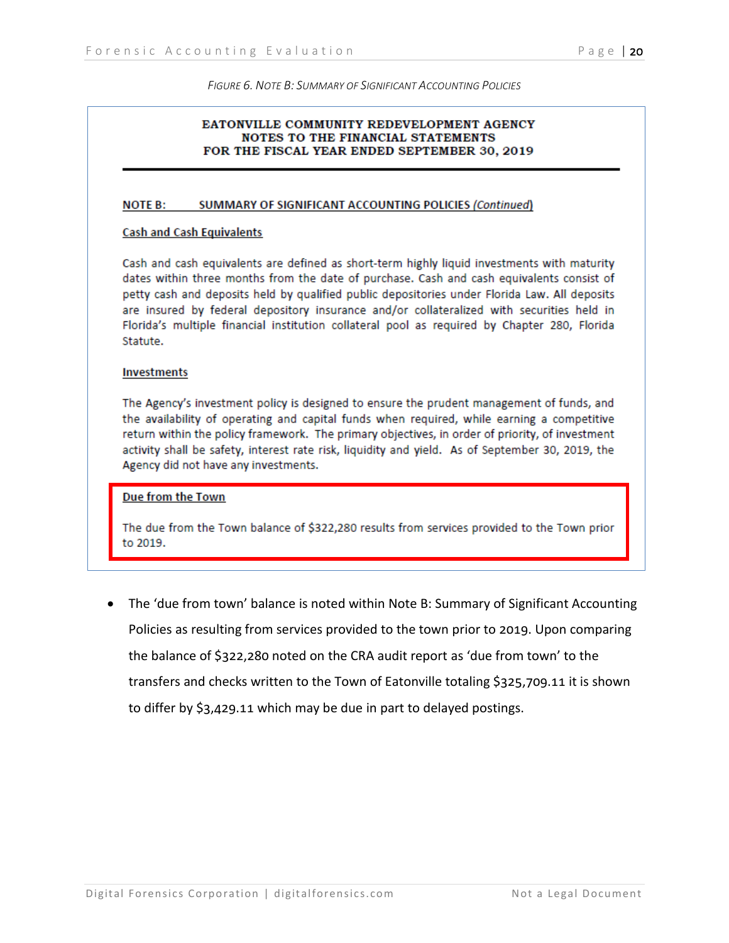#### *FIGURE 6. NOTE B: SUMMARY OF SIGNIFICANT ACCOUNTING POLICIES*

#### EATONVILLE COMMUNITY REDEVELOPMENT AGENCY **NOTES TO THE FINANCIAL STATEMENTS** FOR THE FISCAL YEAR ENDED SEPTEMBER 30, 2019

#### **NOTE B:** SUMMARY OF SIGNIFICANT ACCOUNTING POLICIES (Continued)

#### **Cash and Cash Equivalents**

Cash and cash equivalents are defined as short-term highly liquid investments with maturity dates within three months from the date of purchase. Cash and cash equivalents consist of petty cash and deposits held by qualified public depositories under Florida Law. All deposits are insured by federal depository insurance and/or collateralized with securities held in Florida's multiple financial institution collateral pool as required by Chapter 280, Florida Statute.

#### **Investments**

The Agency's investment policy is designed to ensure the prudent management of funds, and the availability of operating and capital funds when required, while earning a competitive return within the policy framework. The primary objectives, in order of priority, of investment activity shall be safety, interest rate risk, liquidity and yield. As of September 30, 2019, the Agency did not have any investments.

#### Due from the Town

The due from the Town balance of \$322,280 results from services provided to the Town prior to 2019.

• The 'due from town' balance is noted within Note B: Summary of Significant Accounting Policies as resulting from services provided to the town prior to 2019. Upon comparing the balance of \$322,280 noted on the CRA audit report as 'due from town' to the transfers and checks written to the Town of Eatonville totaling \$325,709.11 it is shown to differ by \$3,429.11 which may be due in part to delayed postings.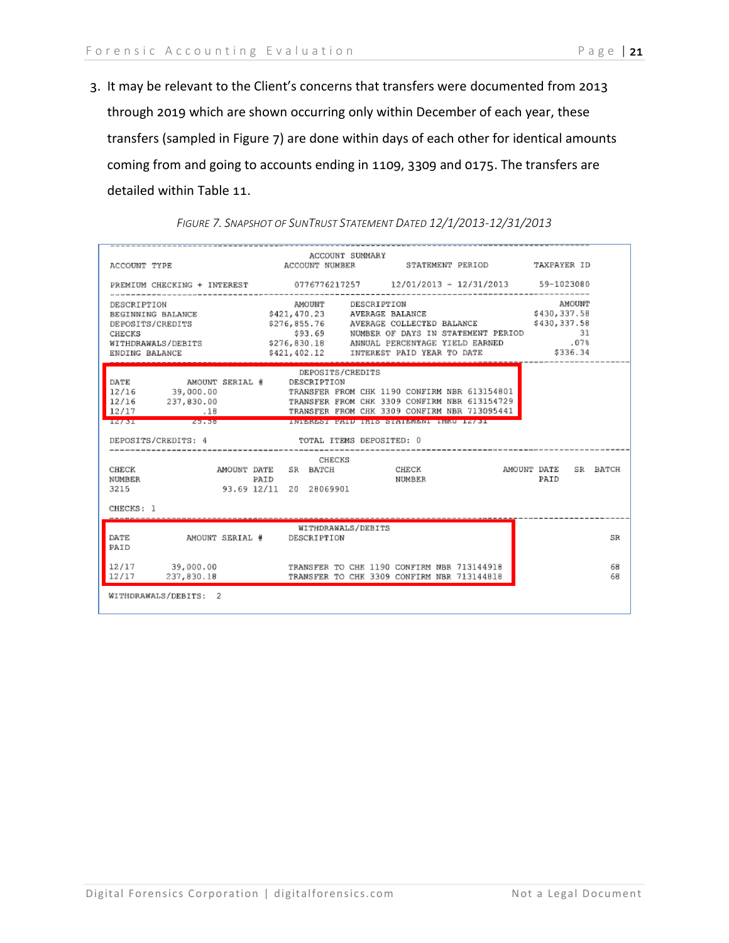3. It may be relevant to the Client's concerns that transfers were documented from 2013 through 2019 which are shown occurring only within December of each year, these transfers (sampled in Figure 7) are done within days of each other for identical amounts coming from and going to accounts ending in 1109, 3309 and 0175. The transfers are detailed within Table 11.

| ACCOUNT TYPE               ACCOUNT NUMBER       STATEMENT PERIOD       TAXPAYER ID                                                                                                               |      | ACCOUNT SUMMARY                              |                                                                                                                                                 |                    |          |
|--------------------------------------------------------------------------------------------------------------------------------------------------------------------------------------------------|------|----------------------------------------------|-------------------------------------------------------------------------------------------------------------------------------------------------|--------------------|----------|
| PREMIUM CHECKING + INTEREST 0776776217257 12/01/2013 - 12/31/2013 59-1023080                                                                                                                     |      |                                              |                                                                                                                                                 |                    |          |
| DESCRIPTION<br>BEGINNING BALANCE \$421,470.23 AVERAGE BALANCE \$430,337.58<br>DEPOSITS/CREDITS<br>CHECKS<br>WITHDRAWALS/DEBITS 5276,830.18 ANNUAL PERCENTAGE YIELD EARNED .07%<br>ENDING BALANCE |      | AMOUNT DESCRIPTION                           | \$276,855.76 AVERAGE COLLECTED BALANCE \$430,337.58<br>\$93.69 NUMBER OF DAYS IN STATEMENT PERIOD 31<br>\$421,402.12 INTEREST PAID YEAR TO DATE | AMOUNT<br>\$336.34 |          |
| AMOUNT SERIAL # DESCRIPTION<br>DATE<br>12/16 39,000.00<br>12/16 237,830.00<br>.18 TRANSFER FROM CHK 3309 CONFIRM NBR 713095441<br>12/17<br>25.56<br>12/31<br>DEPOSITS/CREDITS: 4                 |      | DEPOSITS/CREDITS<br>TOTAL ITEMS DEPOSITED: 0 | TRANSFER FROM CHK 1190 CONFIRM NBR 613154801<br>TRANSFER FROM CHK 3309 CONFIRM NBR 613154729<br>INTEREST PAID THIS STATEMENT THRU 12/31         |                    |          |
| <b>CHECK</b><br><b>NUMBER</b><br>3215<br>CHECKS: 1                                                                                                                                               | PAID | CHECKS<br>93.69 12/11 20 28069901            | NUMBER                                                                                                                                          | PAID               | SR BATCH |
| DATE<br>AMOUNT SERIAL # DESCRIPTION<br>PAID                                                                                                                                                      |      | WITHDRAWALS/DEBITS                           |                                                                                                                                                 |                    | SR       |
| 39,000.00<br>12/17<br>12/17<br>237,830.18                                                                                                                                                        |      |                                              | TRANSFER TO CHK 1190 CONFIRM NBR 713144918<br>TRANSFER TO CHK 3309 CONFIRM NBR 713144818                                                        |                    | 68<br>68 |
| WITHDRAWALS/DEBITS: 2                                                                                                                                                                            |      |                                              |                                                                                                                                                 |                    |          |

#### *FIGURE 7. SNAPSHOT OF SUNTRUST STATEMENT DATED 12/1/2013-12/31/2013*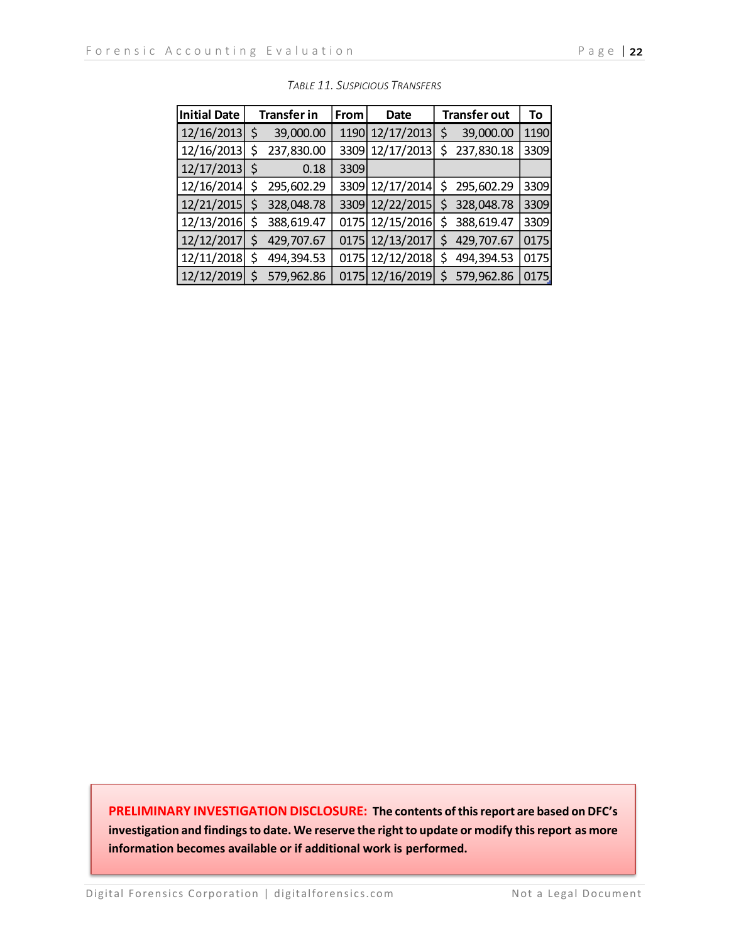| <b>Initial Date</b> |    | <b>Transfer in</b> | <b>From</b> | Date            |     | <b>Transfer out</b> | To   |
|---------------------|----|--------------------|-------------|-----------------|-----|---------------------|------|
| 12/16/2013          | \$ | 39,000.00          | 1190        | 12/17/2013      | \$  | 39,000.00           | 1190 |
| 12/16/2013          | \$ | 237,830.00         | 3309        | 12/17/2013      | \$  | 237,830.18          | 3309 |
| 12/17/2013          | \$ | 0.18               | 3309        |                 |     |                     |      |
| 12/16/2014          | \$ | 295,602.29         |             | 3309 12/17/2014 | \$. | 295,602.29          | 3309 |
| 12/21/2015          | \$ | 328,048.78         |             | 3309 12/22/2015 | \$  | 328,048.78          | 3309 |
| 12/13/2016          | \$ | 388,619.47         |             | 0175 12/15/2016 | \$  | 388,619.47          | 3309 |
| 12/12/2017          | \$ | 429,707.67         |             | 0175 12/13/2017 | \$  | 429,707.67          | 0175 |
| 12/11/2018          | \$ | 494,394.53         |             | 0175 12/12/2018 | \$  | 494,394.53          | 0175 |
| 12/12/2019          | Ś  | 579,962.86         |             | 0175 12/16/2019 | \$  | 579,962.86          | 0175 |

| Table 11. Suspicious Transfers |  |
|--------------------------------|--|
|--------------------------------|--|

**PRELIMINARY INVESTIGATION DISCLOSURE: The contents of this report are based on DFC's investigation and findings to date. We reserve the right to update or modify this report as more information becomes available or if additional work is performed.**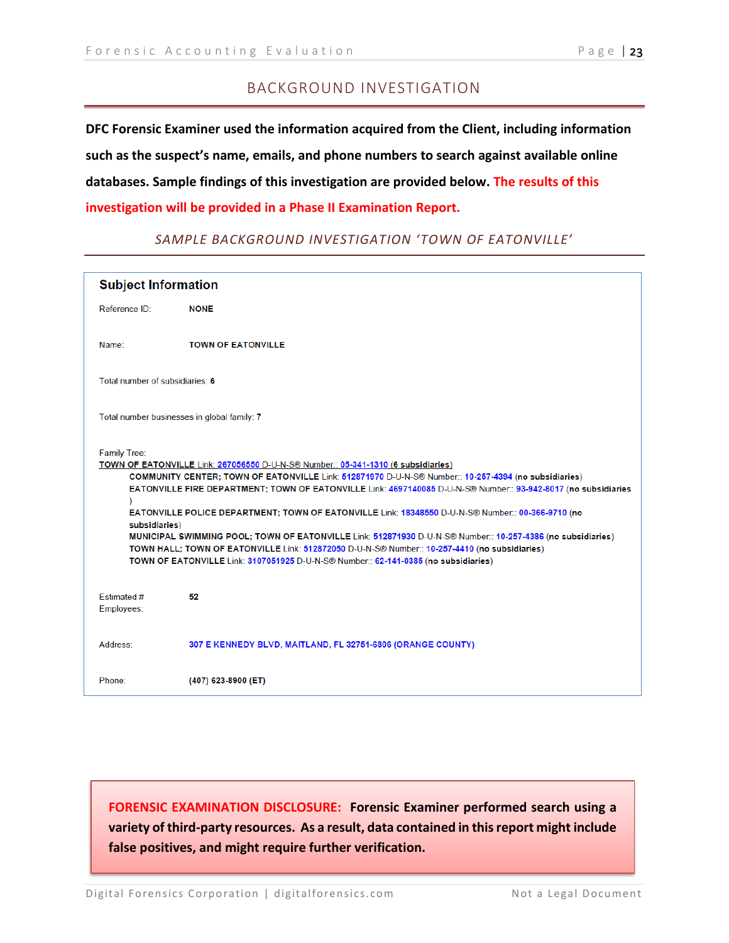#### BACKGROUND INVESTIGATION

**DFC Forensic Examiner used the information acquired from the Client, including information such as the suspect's name, emails, and phone numbers to search against available online databases. Sample findings of this investigation are provided below. The results of this investigation will be provided in a Phase II Examination Report.** 

| <b>Subject Information</b>                                                                                                                                                                                                                                                                                                                                                                                                                                                                                                                                                                                                                                                                                                                                      |                                                             |
|-----------------------------------------------------------------------------------------------------------------------------------------------------------------------------------------------------------------------------------------------------------------------------------------------------------------------------------------------------------------------------------------------------------------------------------------------------------------------------------------------------------------------------------------------------------------------------------------------------------------------------------------------------------------------------------------------------------------------------------------------------------------|-------------------------------------------------------------|
| Reference ID:                                                                                                                                                                                                                                                                                                                                                                                                                                                                                                                                                                                                                                                                                                                                                   | <b>NONE</b>                                                 |
| Name:                                                                                                                                                                                                                                                                                                                                                                                                                                                                                                                                                                                                                                                                                                                                                           | <b>TOWN OF EATONVILLE</b>                                   |
| Total number of subsidiaries: 6                                                                                                                                                                                                                                                                                                                                                                                                                                                                                                                                                                                                                                                                                                                                 |                                                             |
| Total number businesses in global family: 7                                                                                                                                                                                                                                                                                                                                                                                                                                                                                                                                                                                                                                                                                                                     |                                                             |
| <b>Family Tree:</b><br>TOWN OF EATONVILLE Link: 267056550 D-U-N-S® Number:: 05-341-1310 (6 subsidiaries)<br>COMMUNITY CENTER; TOWN OF EATONVILLE Link: 512871970 D-U-N-S® Number:: 10-257-4394 (no subsidiaries)<br>EATONVILLE FIRE DEPARTMENT; TOWN OF EATONVILLE Link: 4697140085 D-U-N-S® Number:: 93-942-8017 (no subsidiaries<br>EATONVILLE POLICE DEPARTMENT; TOWN OF EATONVILLE Link: 18348550 D-U-N-S® Number:: 00-366-9710 (no<br>subsidiaries)<br>MUNICIPAL SWIMMING POOL; TOWN OF EATONVILLE Link: 512871930 D-U-N-S® Number:: 10-257-4386 (no subsidiaries)<br>TOWN HALL; TOWN OF EATONVILLE Link: 512872050 D-U-N-S® Number:: 10-257-4410 (no subsidiaries)<br>TOWN OF EATONVILLE Link: 3107051925 D-U-N-S® Number:: 62-141-0385 (no subsidiaries) |                                                             |
| <b>Fstimated#</b><br>Employees:                                                                                                                                                                                                                                                                                                                                                                                                                                                                                                                                                                                                                                                                                                                                 | 52                                                          |
| Address:                                                                                                                                                                                                                                                                                                                                                                                                                                                                                                                                                                                                                                                                                                                                                        | 307 E KENNEDY BLVD, MAITLAND, FL 32751-6806 (ORANGE COUNTY) |
| Phone:                                                                                                                                                                                                                                                                                                                                                                                                                                                                                                                                                                                                                                                                                                                                                          | (407) 623-8900 (ET)                                         |

#### *SAMPLE BACKGROUND INVESTIGATION 'TOWN OF EATONVILLE'*

**FORENSIC EXAMINATION DISCLOSURE: Forensic Examiner performed search using a variety of third-party resources. As a result, data contained in this report might include false positives, and might require further verification.**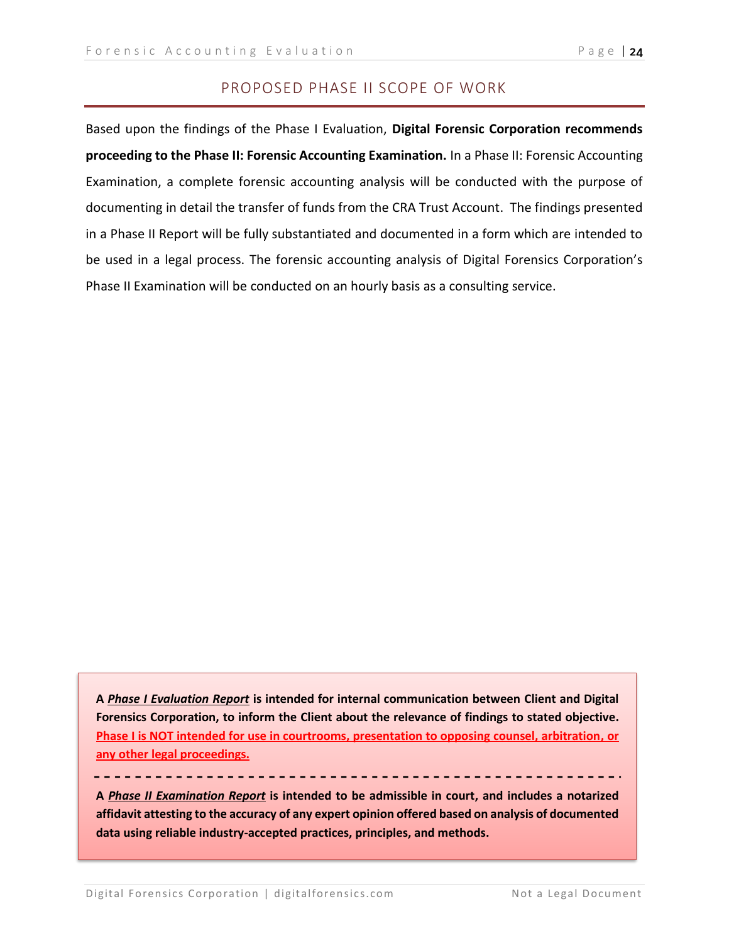#### PROPOSED PHASE II SCOPE OF WORK

Based upon the findings of the Phase I Evaluation, **Digital Forensic Corporation recommends proceeding to the Phase II: Forensic Accounting Examination.** In a Phase II: Forensic Accounting Examination, a complete forensic accounting analysis will be conducted with the purpose of documenting in detail the transfer of funds from the CRA Trust Account. The findings presented in a Phase II Report will be fully substantiated and documented in a form which are intended to be used in a legal process. The forensic accounting analysis of Digital Forensics Corporation's Phase II Examination will be conducted on an hourly basis as a consulting service.

**A** *Phase I Evaluation Report* **is intended for internal communication between Client and Digital Forensics Corporation, to inform the Client about the relevance of findings to stated objective. Phase I is NOT intended for use in courtrooms, presentation to opposing counsel, arbitration, or any other legal proceedings.**

**A** *Phase II Examination Report* **is intended to be admissible in court, and includes a notarized affidavit attesting to the accuracy of any expert opinion offered based on analysis of documented data using reliable industry-accepted practices, principles, and methods.**

---------